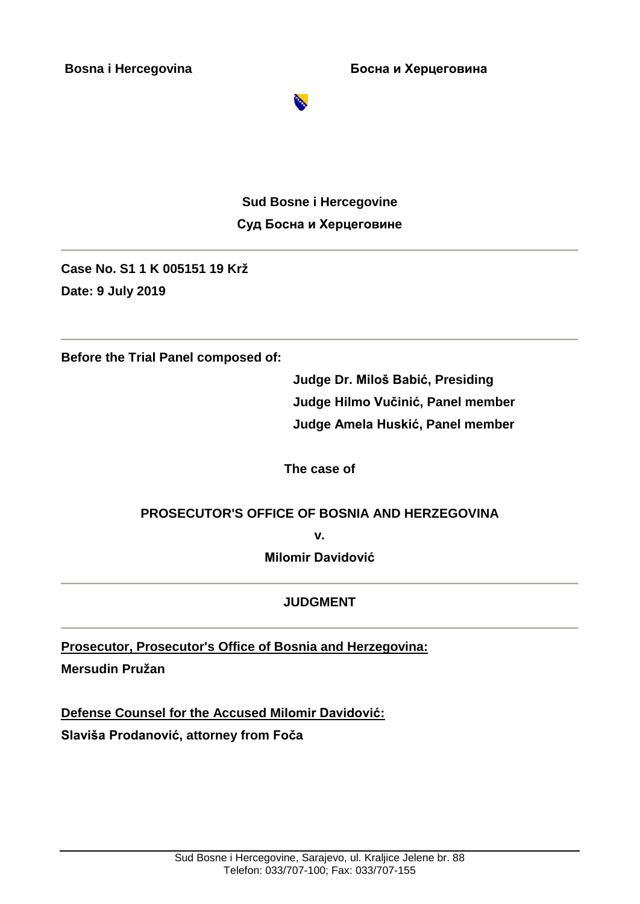**Bosna i Hercegovina Босна и Херцеговина**



**Sud Bosne i Hercegovine Суд Босна и Херцеговинe**

**Case No. S1 1 K 005151 19 Krž Date: 9 July 2019**

**Before the Trial Panel composed of:** 

**Judge Dr. Miloš Babić, Presiding Judge Hilmo Vučinić, Panel member Judge Amela Huskić, Panel member**

**The case of**

### **PROSECUTOR'S OFFICE OF BOSNIA AND HERZEGOVINA**

**v.**

**Milomir Davidović**

### **JUDGMENT**

**Prosecutor, Prosecutor's Office of Bosnia and Herzegovina:**

**Mersudin Pružan**

**Defense Counsel for the Accused Milomir Davidović: Slaviša Prodanović, attorney from Foča**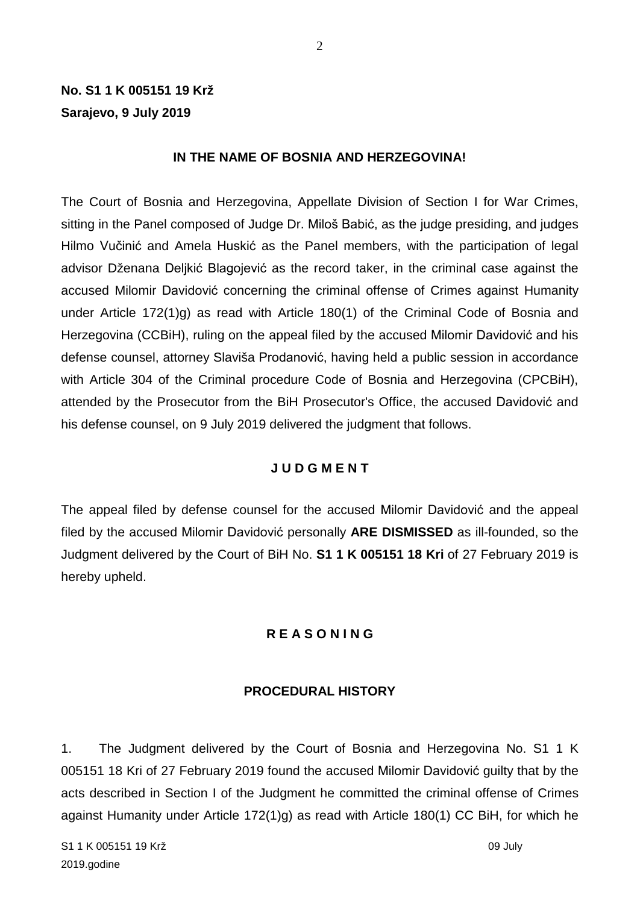# **No. S1 1 K 005151 19 Krž Sarajevo, 9 July 2019**

#### **IN THE NAME OF BOSNIA AND HERZEGOVINA!**

The Court of Bosnia and Herzegovina, Appellate Division of Section I for War Crimes, sitting in the Panel composed of Judge Dr. Miloš Babić, as the judge presiding, and judges Hilmo Vučinić and Amela Huskić as the Panel members, with the participation of legal advisor Dženana Deljkić Blagojević as the record taker, in the criminal case against the accused Milomir Davidović concerning the criminal offense of Crimes against Humanity under Article 172(1)g) as read with Article 180(1) of the Criminal Code of Bosnia and Herzegovina (CCBiH), ruling on the appeal filed by the accused Milomir Davidović and his defense counsel, attorney Slaviša Prodanović, having held a public session in accordance with Article 304 of the Criminal procedure Code of Bosnia and Herzegovina (CPCBiH), attended by the Prosecutor from the BiH Prosecutor's Office, the accused Davidović and his defense counsel, on 9 July 2019 delivered the judgment that follows.

#### **J U D G M E N T**

The appeal filed by defense counsel for the accused Milomir Davidović and the appeal filed by the accused Milomir Davidović personally **ARE DISMISSED** as ill-founded, so the Judgment delivered by the Court of BiH No. **S1 1 K 005151 18 Kri** of 27 February 2019 is hereby upheld.

#### **R E A S O N I N G**

#### **PROCEDURAL HISTORY**

1. The Judgment delivered by the Court of Bosnia and Herzegovina No. S1 1 K 005151 18 Kri of 27 February 2019 found the accused Milomir Davidović guilty that by the acts described in Section I of the Judgment he committed the criminal offense of Crimes against Humanity under Article 172(1)g) as read with Article 180(1) CC BiH, for which he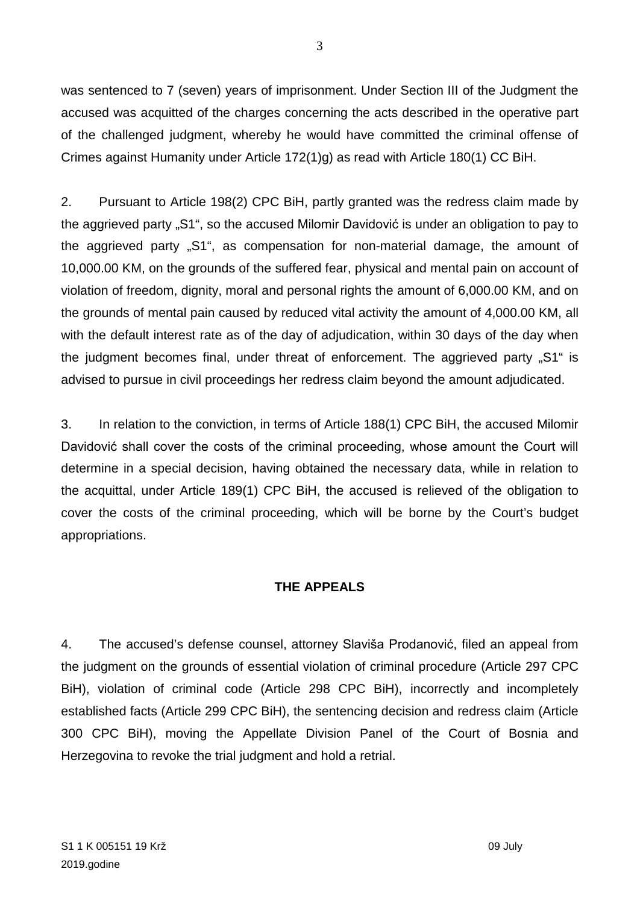was sentenced to 7 (seven) years of imprisonment. Under Section III of the Judgment the accused was acquitted of the charges concerning the acts described in the operative part of the challenged judgment, whereby he would have committed the criminal offense of Crimes against Humanity under Article 172(1)g) as read with Article 180(1) CC BiH.

2. Pursuant to Article 198(2) CPC BiH, partly granted was the redress claim made by the aggrieved party "S1", so the accused Milomir Davidović is under an obligation to pay to the aggrieved party "S1", as compensation for non-material damage, the amount of 10,000.00 KM, on the grounds of the suffered fear, physical and mental pain on account of violation of freedom, dignity, moral and personal rights the amount of 6,000.00 KM, and on the grounds of mental pain caused by reduced vital activity the amount of 4,000.00 KM, all with the default interest rate as of the day of adjudication, within 30 days of the day when the judgment becomes final, under threat of enforcement. The aggrieved party "S1" is advised to pursue in civil proceedings her redress claim beyond the amount adjudicated.

3. In relation to the conviction, in terms of Article 188(1) CPC BiH, the accused Milomir Davidović shall cover the costs of the criminal proceeding, whose amount the Court will determine in a special decision, having obtained the necessary data, while in relation to the acquittal, under Article 189(1) CPC BiH, the accused is relieved of the obligation to cover the costs of the criminal proceeding, which will be borne by the Court's budget appropriations.

# **THE APPEALS**

4. The accused's defense counsel, attorney Slaviša Prodanović, filed an appeal from the judgment on the grounds of essential violation of criminal procedure (Article 297 CPC BiH), violation of criminal code (Article 298 CPC BiH), incorrectly and incompletely established facts (Article 299 CPC BiH), the sentencing decision and redress claim (Article 300 CPC BiH), moving the Appellate Division Panel of the Court of Bosnia and Herzegovina to revoke the trial judgment and hold a retrial.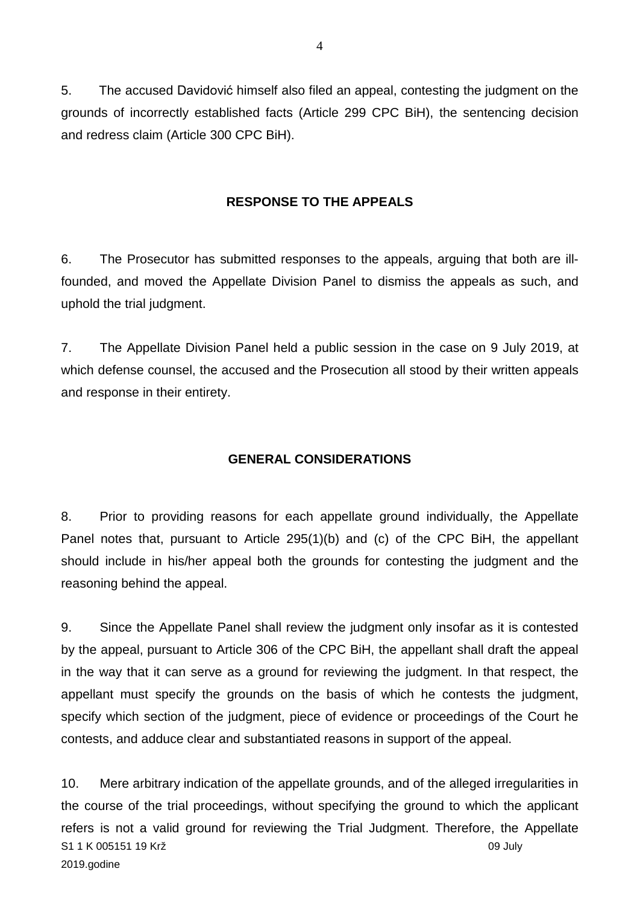5. The accused Davidović himself also filed an appeal, contesting the judgment on the grounds of incorrectly established facts (Article 299 CPC BiH), the sentencing decision and redress claim (Article 300 CPC BiH).

#### **RESPONSE TO THE APPEALS**

6. The Prosecutor has submitted responses to the appeals, arguing that both are illfounded, and moved the Appellate Division Panel to dismiss the appeals as such, and uphold the trial judgment.

7. The Appellate Division Panel held a public session in the case on 9 July 2019, at which defense counsel, the accused and the Prosecution all stood by their written appeals and response in their entirety.

### **GENERAL CONSIDERATIONS**

8. Prior to providing reasons for each appellate ground individually, the Appellate Panel notes that, pursuant to Article 295(1)(b) and (c) of the CPC BiH, the appellant should include in his/her appeal both the grounds for contesting the judgment and the reasoning behind the appeal.

9. Since the Appellate Panel shall review the judgment only insofar as it is contested by the appeal, pursuant to Article 306 of the CPC BiH, the appellant shall draft the appeal in the way that it can serve as a ground for reviewing the judgment. In that respect, the appellant must specify the grounds on the basis of which he contests the judgment, specify which section of the judgment, piece of evidence or proceedings of the Court he contests, and adduce clear and substantiated reasons in support of the appeal.

S1 1 K 005151 19 Krž 09 July 2019.godine 10. Mere arbitrary indication of the appellate grounds, and of the alleged irregularities in the course of the trial proceedings, without specifying the ground to which the applicant refers is not a valid ground for reviewing the Trial Judgment. Therefore, the Appellate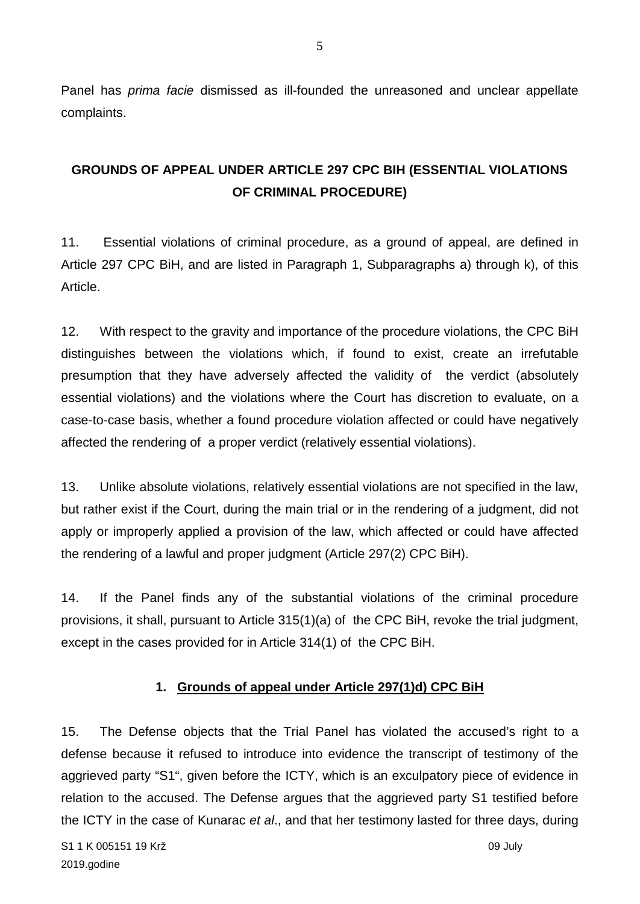Panel has *prima facie* dismissed as ill-founded the unreasoned and unclear appellate complaints.

# **GROUNDS OF APPEAL UNDER ARTICLE 297 CPC BIH (ESSENTIAL VIOLATIONS OF CRIMINAL PROCEDURE)**

11. Essential violations of criminal procedure, as a ground of appeal, are defined in Article 297 CPC BiH, and are listed in Paragraph 1, Subparagraphs a) through k), of this Article.

12. With respect to the gravity and importance of the procedure violations, the CPC BiH distinguishes between the violations which, if found to exist, create an irrefutable presumption that they have adversely affected the validity of the verdict (absolutely essential violations) and the violations where the Court has discretion to evaluate, on a case-to-case basis, whether a found procedure violation affected or could have negatively affected the rendering of a proper verdict (relatively essential violations).

13. Unlike absolute violations, relatively essential violations are not specified in the law, but rather exist if the Court, during the main trial or in the rendering of a judgment, did not apply or improperly applied a provision of the law, which affected or could have affected the rendering of a lawful and proper judgment (Article 297(2) CPC BiH).

14. If the Panel finds any of the substantial violations of the criminal procedure provisions, it shall, pursuant to Article 315(1)(a) of the CPC BiH, revoke the trial judgment, except in the cases provided for in Article 314(1) of the CPC BiH.

# **1. Grounds of appeal under Article 297(1)d) CPC BiH**

15. The Defense objects that the Trial Panel has violated the accused's right to a defense because it refused to introduce into evidence the transcript of testimony of the aggrieved party "S1", given before the ICTY, which is an exculpatory piece of evidence in relation to the accused. The Defense argues that the aggrieved party S1 testified before the ICTY in the case of Kunarac *et al*., and that her testimony lasted for three days, during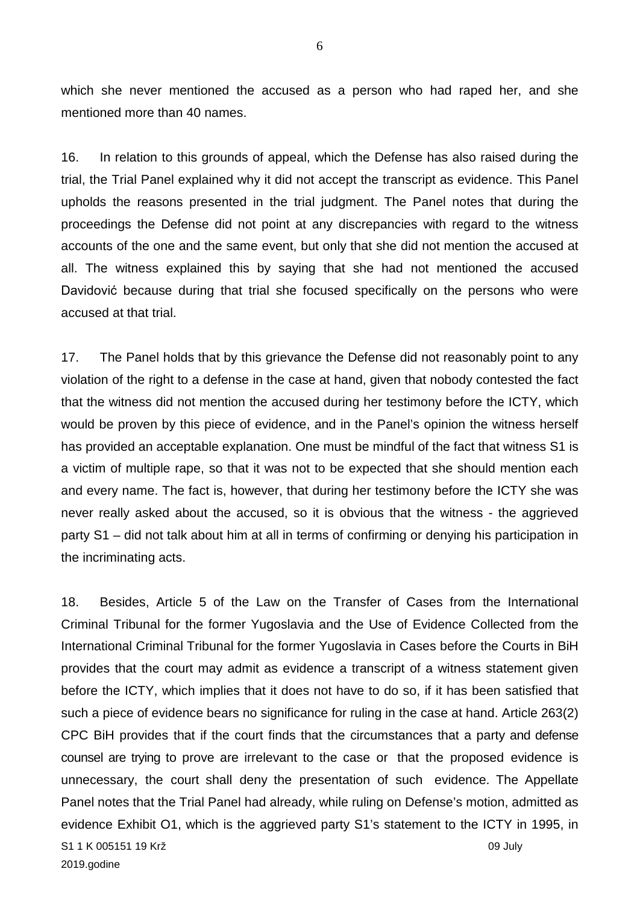which she never mentioned the accused as a person who had raped her, and she mentioned more than 40 names.

16. In relation to this grounds of appeal, which the Defense has also raised during the trial, the Trial Panel explained why it did not accept the transcript as evidence. This Panel upholds the reasons presented in the trial judgment. The Panel notes that during the proceedings the Defense did not point at any discrepancies with regard to the witness accounts of the one and the same event, but only that she did not mention the accused at all. The witness explained this by saying that she had not mentioned the accused Davidović because during that trial she focused specifically on the persons who were accused at that trial.

17. The Panel holds that by this grievance the Defense did not reasonably point to any violation of the right to a defense in the case at hand, given that nobody contested the fact that the witness did not mention the accused during her testimony before the ICTY, which would be proven by this piece of evidence, and in the Panel's opinion the witness herself has provided an acceptable explanation. One must be mindful of the fact that witness S1 is a victim of multiple rape, so that it was not to be expected that she should mention each and every name. The fact is, however, that during her testimony before the ICTY she was never really asked about the accused, so it is obvious that the witness - the aggrieved party S1 – did not talk about him at all in terms of confirming or denying his participation in the incriminating acts.

S1 1 K 005151 19 Krž 09 July 2019.godine 18. Besides, Article 5 of the Law on the Transfer of Cases from the International Criminal Tribunal for the former Yugoslavia and the Use of Evidence Collected from the International Criminal Tribunal for the former Yugoslavia in Cases before the Courts in BiH provides that the court may admit as evidence a transcript of a witness statement given before the ICTY, which implies that it does not have to do so, if it has been satisfied that such a piece of evidence bears no significance for ruling in the case at hand. Article 263(2) CPC BiH provides that if the court finds that the circumstances that a party and defense counsel are trying to prove are irrelevant to the case or that the proposed evidence is unnecessary, the court shall deny the presentation of such evidence. The Appellate Panel notes that the Trial Panel had already, while ruling on Defense's motion, admitted as evidence Exhibit O1, which is the aggrieved party S1's statement to the ICTY in 1995, in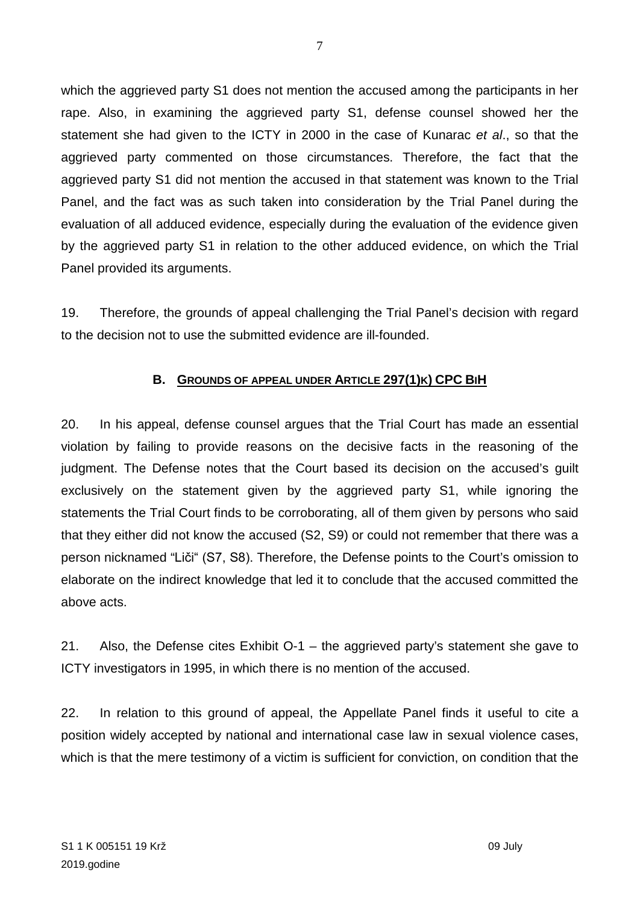which the aggrieved party S1 does not mention the accused among the participants in her rape. Also, in examining the aggrieved party S1, defense counsel showed her the statement she had given to the ICTY in 2000 in the case of Kunarac *et al*., so that the aggrieved party commented on those circumstances. Therefore, the fact that the aggrieved party S1 did not mention the accused in that statement was known to the Trial Panel, and the fact was as such taken into consideration by the Trial Panel during the evaluation of all adduced evidence, especially during the evaluation of the evidence given by the aggrieved party S1 in relation to the other adduced evidence, on which the Trial Panel provided its arguments.

19. Therefore, the grounds of appeal challenging the Trial Panel's decision with regard to the decision not to use the submitted evidence are ill-founded.

## **B. GROUNDS OF APPEAL UNDER ARTICLE 297(1)K) CPC BIH**

20. In his appeal, defense counsel argues that the Trial Court has made an essential violation by failing to provide reasons on the decisive facts in the reasoning of the judgment. The Defense notes that the Court based its decision on the accused's guilt exclusively on the statement given by the aggrieved party S1, while ignoring the statements the Trial Court finds to be corroborating, all of them given by persons who said that they either did not know the accused (S2, S9) or could not remember that there was a person nicknamed "Liči" (S7, S8). Therefore, the Defense points to the Court's omission to elaborate on the indirect knowledge that led it to conclude that the accused committed the above acts.

21. Also, the Defense cites Exhibit O-1 – the aggrieved party's statement she gave to ICTY investigators in 1995, in which there is no mention of the accused.

22. In relation to this ground of appeal, the Appellate Panel finds it useful to cite a position widely accepted by national and international case law in sexual violence cases, which is that the mere testimony of a victim is sufficient for conviction, on condition that the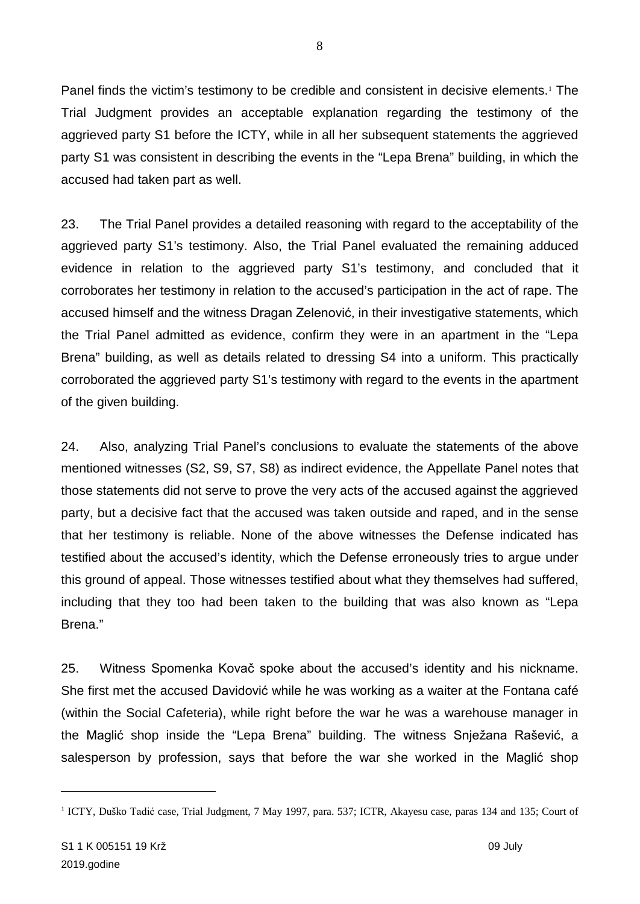Panel finds the victim's testimony to be credible and consistent in decisive elements.<sup>[1](#page-7-0)</sup> The Trial Judgment provides an acceptable explanation regarding the testimony of the aggrieved party S1 before the ICTY, while in all her subsequent statements the aggrieved party S1 was consistent in describing the events in the "Lepa Brena" building, in which the accused had taken part as well.

23. The Trial Panel provides a detailed reasoning with regard to the acceptability of the aggrieved party S1's testimony. Also, the Trial Panel evaluated the remaining adduced evidence in relation to the aggrieved party S1's testimony, and concluded that it corroborates her testimony in relation to the accused's participation in the act of rape. The accused himself and the witness Dragan Zelenović, in their investigative statements, which the Trial Panel admitted as evidence, confirm they were in an apartment in the "Lepa Brena" building, as well as details related to dressing S4 into a uniform. This practically corroborated the aggrieved party S1's testimony with regard to the events in the apartment of the given building.

24. Also, analyzing Trial Panel's conclusions to evaluate the statements of the above mentioned witnesses (S2, S9, S7, S8) as indirect evidence, the Appellate Panel notes that those statements did not serve to prove the very acts of the accused against the aggrieved party, but a decisive fact that the accused was taken outside and raped, and in the sense that her testimony is reliable. None of the above witnesses the Defense indicated has testified about the accused's identity, which the Defense erroneously tries to argue under this ground of appeal. Those witnesses testified about what they themselves had suffered, including that they too had been taken to the building that was also known as "Lepa Brena."

25. Witness Spomenka Kovač spoke about the accused's identity and his nickname. She first met the accused Davidović while he was working as a waiter at the Fontana café (within the Social Cafeteria), while right before the war he was a warehouse manager in the Maglić shop inside the "Lepa Brena" building. The witness Snježana Rašević, a salesperson by profession, says that before the war she worked in the Maglić shop

<span id="page-7-0"></span><sup>&</sup>lt;sup>1</sup> ICTY, Duško Tadić case, Trial Judgment, 7 May 1997, para. 537; ICTR, Akayesu case, paras 134 and 135; Court of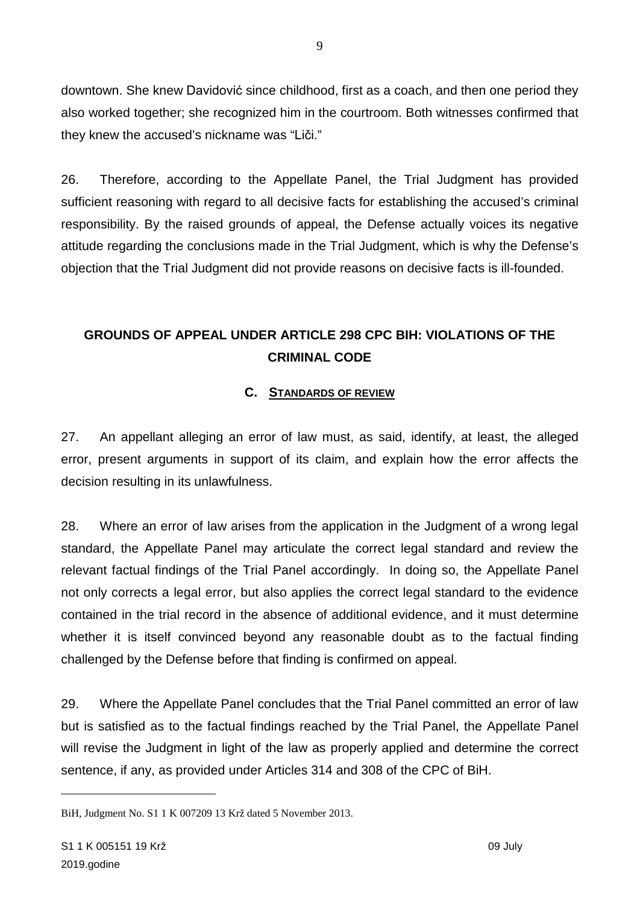downtown. She knew Davidović since childhood, first as a coach, and then one period they also worked together; she recognized him in the courtroom. Both witnesses confirmed that they knew the accused's nickname was "Liči."

26. Therefore, according to the Appellate Panel, the Trial Judgment has provided sufficient reasoning with regard to all decisive facts for establishing the accused's criminal responsibility. By the raised grounds of appeal, the Defense actually voices its negative attitude regarding the conclusions made in the Trial Judgment, which is why the Defense's objection that the Trial Judgment did not provide reasons on decisive facts is ill-founded.

# **GROUNDS OF APPEAL UNDER ARTICLE 298 CPC BIH: VIOLATIONS OF THE CRIMINAL CODE**

## **C. STANDARDS OF REVIEW**

27. An appellant alleging an error of law must, as said, identify, at least, the alleged error, present arguments in support of its claim, and explain how the error affects the decision resulting in its unlawfulness.

28. Where an error of law arises from the application in the Judgment of a wrong legal standard, the Appellate Panel may articulate the correct legal standard and review the relevant factual findings of the Trial Panel accordingly. In doing so, the Appellate Panel not only corrects a legal error, but also applies the correct legal standard to the evidence contained in the trial record in the absence of additional evidence, and it must determine whether it is itself convinced beyond any reasonable doubt as to the factual finding challenged by the Defense before that finding is confirmed on appeal.

29. Where the Appellate Panel concludes that the Trial Panel committed an error of law but is satisfied as to the factual findings reached by the Trial Panel, the Appellate Panel will revise the Judgment in light of the law as properly applied and determine the correct sentence, if any, as provided under Articles 314 and 308 of the CPC of BiH.

BiH, Judgment No. S1 1 K 007209 13 Krž dated 5 November 2013.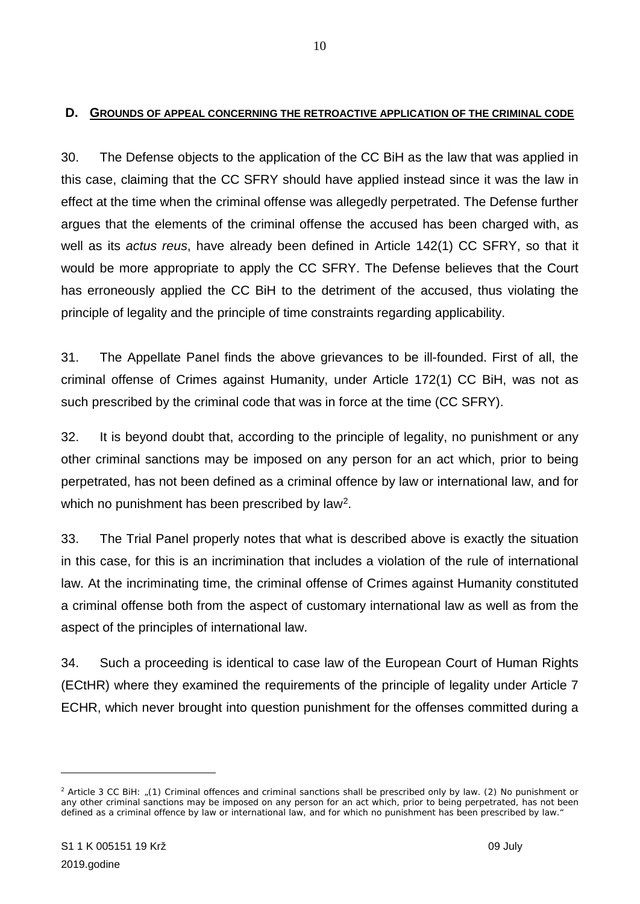#### **D. GROUNDS OF APPEAL CONCERNING THE RETROACTIVE APPLICATION OF THE CRIMINAL CODE**

30. The Defense objects to the application of the CC BiH as the law that was applied in this case, claiming that the CC SFRY should have applied instead since it was the law in effect at the time when the criminal offense was allegedly perpetrated. The Defense further argues that the elements of the criminal offense the accused has been charged with, as well as its *actus reus*, have already been defined in Article 142(1) CC SFRY, so that it would be more appropriate to apply the CC SFRY. The Defense believes that the Court has erroneously applied the CC BiH to the detriment of the accused, thus violating the principle of legality and the principle of time constraints regarding applicability.

31. The Appellate Panel finds the above grievances to be ill-founded. First of all, the criminal offense of Crimes against Humanity, under Article 172(1) CC BiH, was not as such prescribed by the criminal code that was in force at the time (CC SFRY).

32. It is beyond doubt that, according to the principle of legality, no punishment or any other criminal sanctions may be imposed on any person for an act which, prior to being perpetrated, has not been defined as a criminal offence by law or international law, and for which no punishment has been prescribed by law<sup>[2](#page-9-0)</sup>.

33. The Trial Panel properly notes that what is described above is exactly the situation in this case, for this is an incrimination that includes a violation of the rule of international law. At the incriminating time, the criminal offense of Crimes against Humanity constituted a criminal offense both from the aspect of customary international law as well as from the aspect of the principles of international law.

34. Such a proceeding is identical to case law of the European Court of Human Rights (ECtHR) where they examined the requirements of the principle of legality under Article 7 ECHR, which never brought into question punishment for the offenses committed during a

<span id="page-9-0"></span><sup>2</sup> Article 3 CC BiH: "*(1) Criminal offences and criminal sanctions shall be prescribed only by law. (2) No punishment or any other criminal sanctions may be imposed on any person for an act which, prior to being perpetrated, has not been defined as a criminal offence by law or international law, and for which no punishment has been prescribed by law."*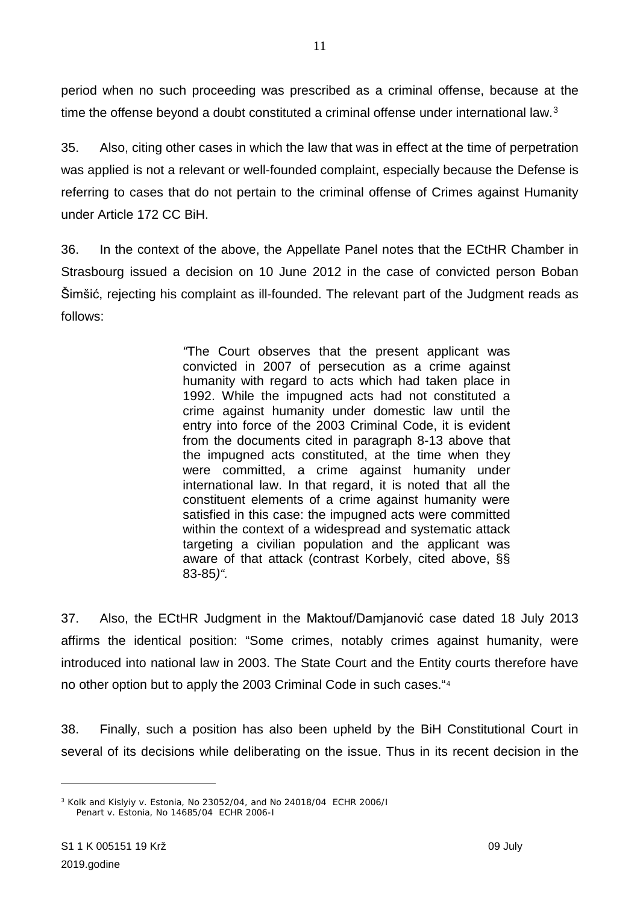period when no such proceeding was prescribed as a criminal offense, because at the time the offense beyond a doubt constituted a criminal offense under international law. [3](#page-10-0)

35. Also, citing other cases in which the law that was in effect at the time of perpetration was applied is not a relevant or well-founded complaint, especially because the Defense is referring to cases that do not pertain to the criminal offense of Crimes against Humanity under Article 172 CC BiH.

36. In the context of the above, the Appellate Panel notes that the ECtHR Chamber in Strasbourg issued a decision on 10 June 2012 in the case of convicted person Boban Šimšić, rejecting his complaint as ill-founded. The relevant part of the Judgment reads as follows:

> *"*The Court observes that the present applicant was convicted in 2007 of persecution as a crime against humanity with regard to acts which had taken place in 1992. While the impugned acts had not constituted a crime against humanity under domestic law until the entry into force of the 2003 Criminal Code, it is evident from the documents cited in paragraph 8-13 above that the impugned acts constituted, at the time when they were committed, a crime against humanity under international law. In that regard, it is noted that all the constituent elements of a crime against humanity were satisfied in this case: the impugned acts were committed within the context of a widespread and systematic attack targeting a civilian population and the applicant was aware of that attack (contrast Korbely, cited above, §§ 83-85*)".*

37. Also, the ECtHR Judgment in the Maktouf/Damjanović case dated 18 July 2013 affirms the identical position: "Some crimes, notably crimes against humanity, were introduced into national law in 2003. The State Court and the Entity courts therefore have no other option but to apply the 2003 Criminal Code in such cases."[4](#page-10-1)

38. Finally, such a position has also been upheld by the BiH Constitutional Court in several of its decisions while deliberating on the issue. Thus in its recent decision in the

<span id="page-10-1"></span><span id="page-10-0"></span><sup>3</sup> Kolk and Kislyiy v. Estonia, No 23052/04, and No 24018/04 ECHR 2006/I Penart v. Estonia, No 14685/04 ECHR 2006-I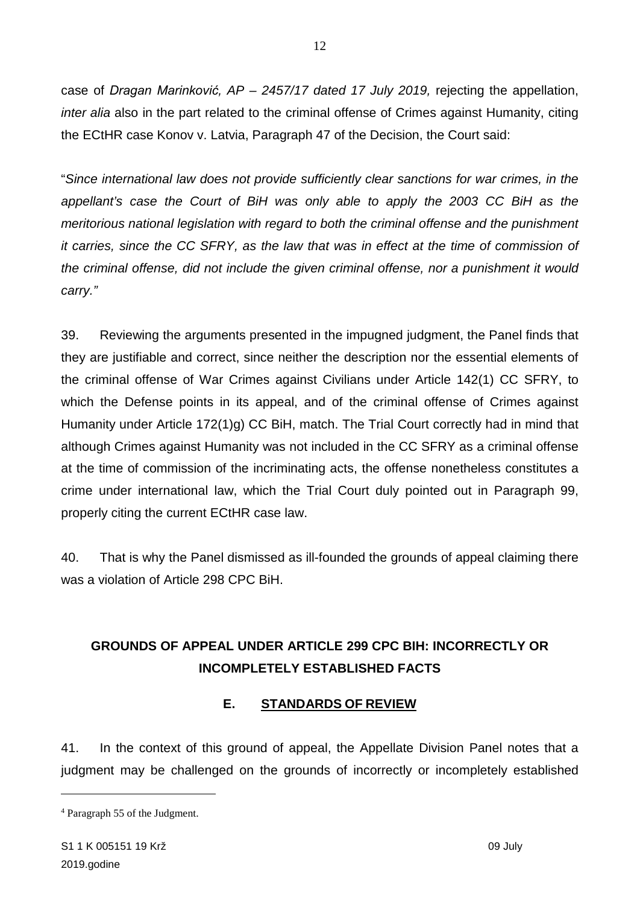case of *Dragan Marinković, AP – 2457/17 dated 17 July 2019,* rejecting the appellation, *inter alia* also in the part related to the criminal offense of Crimes against Humanity, citing the ECtHR case Konov v. Latvia, Paragraph 47 of the Decision, the Court said:

"*Since international law does not provide sufficiently clear sanctions for war crimes, in the appellant's case the Court of BiH was only able to apply the 2003 CC BiH as the meritorious national legislation with regard to both the criminal offense and the punishment it carries, since the CC SFRY, as the law that was in effect at the time of commission of the criminal offense, did not include the given criminal offense, nor a punishment it would carry."*

39. Reviewing the arguments presented in the impugned judgment, the Panel finds that they are justifiable and correct, since neither the description nor the essential elements of the criminal offense of War Crimes against Civilians under Article 142(1) CC SFRY, to which the Defense points in its appeal, and of the criminal offense of Crimes against Humanity under Article 172(1)g) CC BiH, match. The Trial Court correctly had in mind that although Crimes against Humanity was not included in the CC SFRY as a criminal offense at the time of commission of the incriminating acts, the offense nonetheless constitutes a crime under international law, which the Trial Court duly pointed out in Paragraph 99, properly citing the current ECtHR case law.

40. That is why the Panel dismissed as ill-founded the grounds of appeal claiming there was a violation of Article 298 CPC BiH.

# **GROUNDS OF APPEAL UNDER ARTICLE 299 CPC BIH: INCORRECTLY OR INCOMPLETELY ESTABLISHED FACTS**

# **E. STANDARDS OF REVIEW**

41. In the context of this ground of appeal, the Appellate Division Panel notes that a judgment may be challenged on the grounds of incorrectly or incompletely established

<sup>4</sup> Paragraph 55 of the Judgment.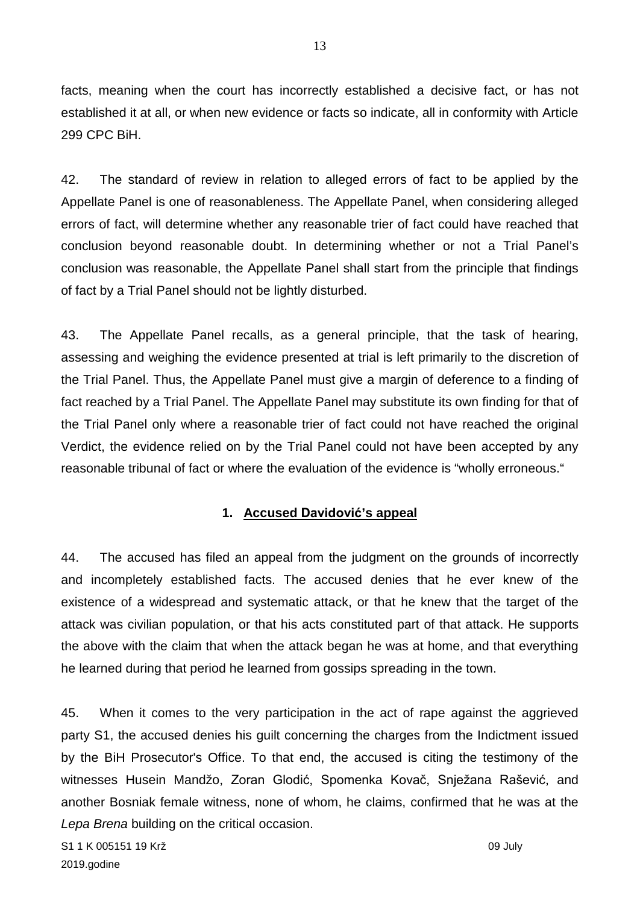facts, meaning when the court has incorrectly established a decisive fact, or has not established it at all, or when new evidence or facts so indicate, all in conformity with Article 299 CPC BiH.

42. The standard of review in relation to alleged errors of fact to be applied by the Appellate Panel is one of reasonableness. The Appellate Panel, when considering alleged errors of fact, will determine whether any reasonable trier of fact could have reached that conclusion beyond reasonable doubt. In determining whether or not a Trial Panel's conclusion was reasonable, the Appellate Panel shall start from the principle that findings of fact by a Trial Panel should not be lightly disturbed.

43. The Appellate Panel recalls, as a general principle, that the task of hearing, assessing and weighing the evidence presented at trial is left primarily to the discretion of the Trial Panel. Thus, the Appellate Panel must give a margin of deference to a finding of fact reached by a Trial Panel. The Appellate Panel may substitute its own finding for that of the Trial Panel only where a reasonable trier of fact could not have reached the original Verdict, the evidence relied on by the Trial Panel could not have been accepted by any reasonable tribunal of fact or where the evaluation of the evidence is "wholly erroneous."

# **1. Accused Davidović's appeal**

44. The accused has filed an appeal from the judgment on the grounds of incorrectly and incompletely established facts. The accused denies that he ever knew of the existence of a widespread and systematic attack, or that he knew that the target of the attack was civilian population, or that his acts constituted part of that attack. He supports the above with the claim that when the attack began he was at home, and that everything he learned during that period he learned from gossips spreading in the town.

45. When it comes to the very participation in the act of rape against the aggrieved party S1, the accused denies his guilt concerning the charges from the Indictment issued by the BiH Prosecutor's Office. To that end, the accused is citing the testimony of the witnesses Husein Mandžo, Zoran Glodić, Spomenka Kovač, Snježana Rašević, and another Bosniak female witness, none of whom, he claims, confirmed that he was at the *Lepa Brena* building on the critical occasion.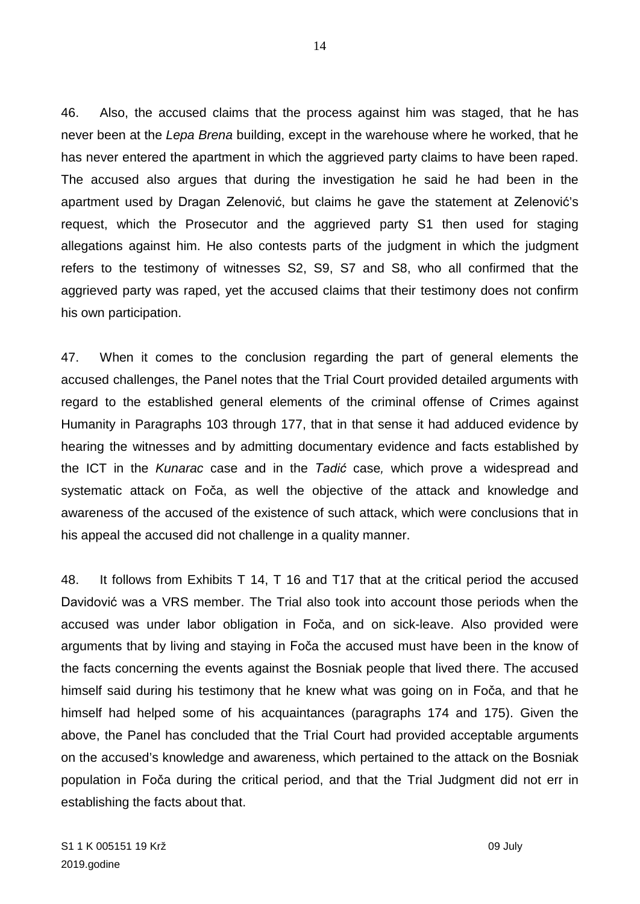46. Also, the accused claims that the process against him was staged, that he has never been at the *Lepa Brena* building, except in the warehouse where he worked, that he has never entered the apartment in which the aggrieved party claims to have been raped. The accused also argues that during the investigation he said he had been in the apartment used by Dragan Zelenović, but claims he gave the statement at Zelenović's request, which the Prosecutor and the aggrieved party S1 then used for staging allegations against him. He also contests parts of the judgment in which the judgment refers to the testimony of witnesses S2, S9, S7 and S8, who all confirmed that the aggrieved party was raped, yet the accused claims that their testimony does not confirm his own participation.

47. When it comes to the conclusion regarding the part of general elements the accused challenges, the Panel notes that the Trial Court provided detailed arguments with regard to the established general elements of the criminal offense of Crimes against Humanity in Paragraphs 103 through 177, that in that sense it had adduced evidence by hearing the witnesses and by admitting documentary evidence and facts established by the ICT in the *Kunarac* case and in the *Tadić* case*,* which prove a widespread and systematic attack on Foča, as well the objective of the attack and knowledge and awareness of the accused of the existence of such attack, which were conclusions that in his appeal the accused did not challenge in a quality manner.

48. It follows from Exhibits T 14, T 16 and T17 that at the critical period the accused Davidović was a VRS member. The Trial also took into account those periods when the accused was under labor obligation in Foča, and on sick-leave. Also provided were arguments that by living and staying in Foča the accused must have been in the know of the facts concerning the events against the Bosniak people that lived there. The accused himself said during his testimony that he knew what was going on in Foča, and that he himself had helped some of his acquaintances (paragraphs 174 and 175). Given the above, the Panel has concluded that the Trial Court had provided acceptable arguments on the accused's knowledge and awareness, which pertained to the attack on the Bosniak population in Foča during the critical period, and that the Trial Judgment did not err in establishing the facts about that.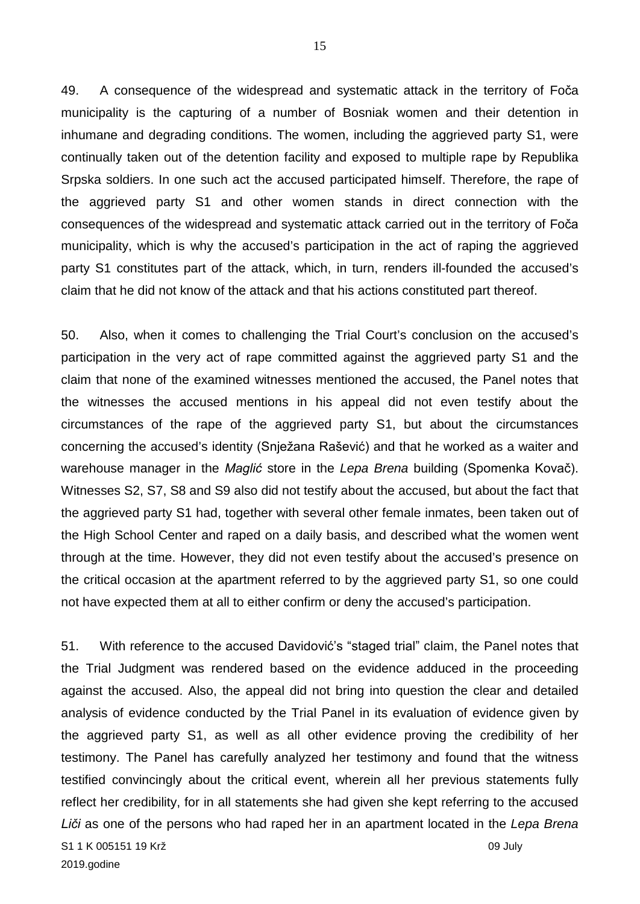49. A consequence of the widespread and systematic attack in the territory of Foča municipality is the capturing of a number of Bosniak women and their detention in inhumane and degrading conditions. The women, including the aggrieved party S1, were continually taken out of the detention facility and exposed to multiple rape by Republika Srpska soldiers. In one such act the accused participated himself. Therefore, the rape of the aggrieved party S1 and other women stands in direct connection with the consequences of the widespread and systematic attack carried out in the territory of Foča municipality, which is why the accused's participation in the act of raping the aggrieved party S1 constitutes part of the attack, which, in turn, renders ill-founded the accused's claim that he did not know of the attack and that his actions constituted part thereof.

50. Also, when it comes to challenging the Trial Court's conclusion on the accused's participation in the very act of rape committed against the aggrieved party S1 and the claim that none of the examined witnesses mentioned the accused, the Panel notes that the witnesses the accused mentions in his appeal did not even testify about the circumstances of the rape of the aggrieved party S1, but about the circumstances concerning the accused's identity (Snježana Rašević) and that he worked as a waiter and warehouse manager in the *Maglić* store in the *Lepa Brena* building (Spomenka Kovač). Witnesses S2, S7, S8 and S9 also did not testify about the accused, but about the fact that the aggrieved party S1 had, together with several other female inmates, been taken out of the High School Center and raped on a daily basis, and described what the women went through at the time. However, they did not even testify about the accused's presence on the critical occasion at the apartment referred to by the aggrieved party S1, so one could not have expected them at all to either confirm or deny the accused's participation.

S1 1 K 005151 19 Krž 09 July 2019.godine 51. With reference to the accused Davidović's "staged trial" claim, the Panel notes that the Trial Judgment was rendered based on the evidence adduced in the proceeding against the accused. Also, the appeal did not bring into question the clear and detailed analysis of evidence conducted by the Trial Panel in its evaluation of evidence given by the aggrieved party S1, as well as all other evidence proving the credibility of her testimony. The Panel has carefully analyzed her testimony and found that the witness testified convincingly about the critical event, wherein all her previous statements fully reflect her credibility, for in all statements she had given she kept referring to the accused *Liči* as one of the persons who had raped her in an apartment located in the *Lepa Brena*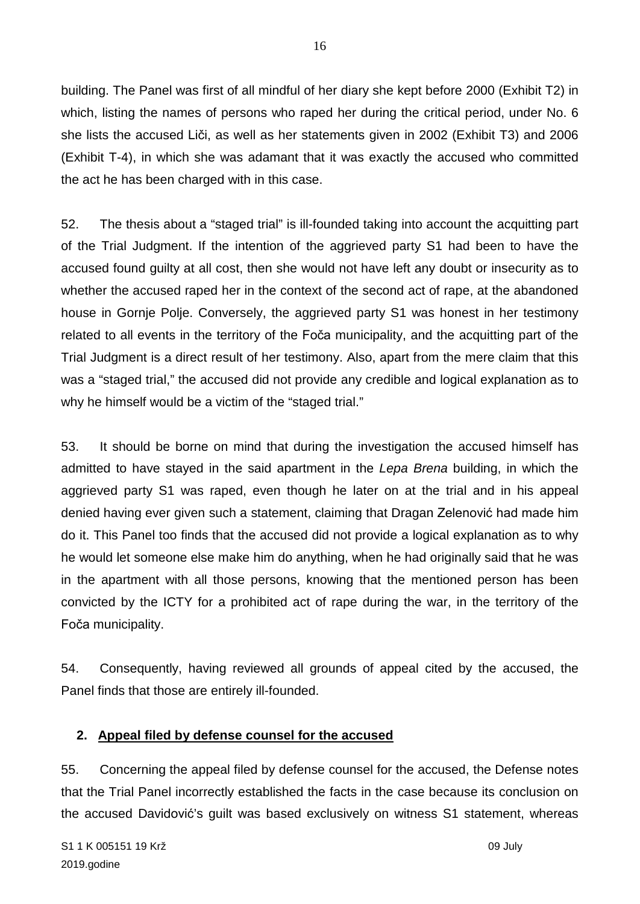building. The Panel was first of all mindful of her diary she kept before 2000 (Exhibit T2) in which, listing the names of persons who raped her during the critical period, under No. 6 she lists the accused Liči, as well as her statements given in 2002 (Exhibit T3) and 2006 (Exhibit T-4), in which she was adamant that it was exactly the accused who committed the act he has been charged with in this case.

52. The thesis about a "staged trial" is ill-founded taking into account the acquitting part of the Trial Judgment. If the intention of the aggrieved party S1 had been to have the accused found guilty at all cost, then she would not have left any doubt or insecurity as to whether the accused raped her in the context of the second act of rape, at the abandoned house in Gornje Polje. Conversely, the aggrieved party S1 was honest in her testimony related to all events in the territory of the Foča municipality, and the acquitting part of the Trial Judgment is a direct result of her testimony. Also, apart from the mere claim that this was a "staged trial," the accused did not provide any credible and logical explanation as to why he himself would be a victim of the "staged trial."

53. It should be borne on mind that during the investigation the accused himself has admitted to have stayed in the said apartment in the *Lepa Brena* building, in which the aggrieved party S1 was raped, even though he later on at the trial and in his appeal denied having ever given such a statement, claiming that Dragan Zelenović had made him do it. This Panel too finds that the accused did not provide a logical explanation as to why he would let someone else make him do anything, when he had originally said that he was in the apartment with all those persons, knowing that the mentioned person has been convicted by the ICTY for a prohibited act of rape during the war, in the territory of the Foča municipality.

54. Consequently, having reviewed all grounds of appeal cited by the accused, the Panel finds that those are entirely ill-founded.

### **2. Appeal filed by defense counsel for the accused**

55. Concerning the appeal filed by defense counsel for the accused, the Defense notes that the Trial Panel incorrectly established the facts in the case because its conclusion on the accused Davidović's guilt was based exclusively on witness S1 statement, whereas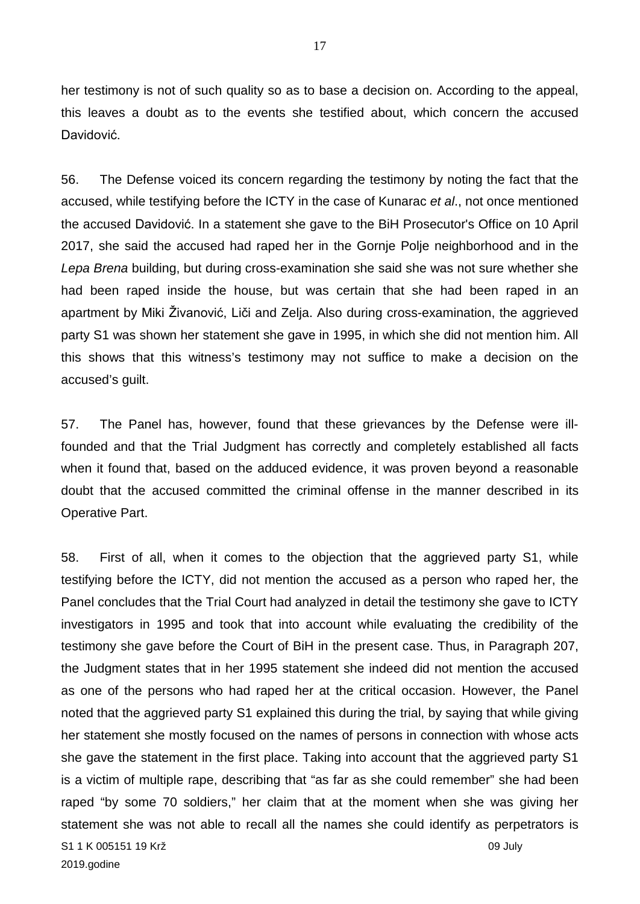her testimony is not of such quality so as to base a decision on. According to the appeal, this leaves a doubt as to the events she testified about, which concern the accused Davidović.

56. The Defense voiced its concern regarding the testimony by noting the fact that the accused, while testifying before the ICTY in the case of Kunarac *et al*., not once mentioned the accused Davidović. In a statement she gave to the BiH Prosecutor's Office on 10 April 2017, she said the accused had raped her in the Gornje Polje neighborhood and in the *Lepa Brena* building, but during cross-examination she said she was not sure whether she had been raped inside the house, but was certain that she had been raped in an apartment by Miki Živanović, Liči and Zelja. Also during cross-examination, the aggrieved party S1 was shown her statement she gave in 1995, in which she did not mention him. All this shows that this witness's testimony may not suffice to make a decision on the accused's guilt.

57. The Panel has, however, found that these grievances by the Defense were illfounded and that the Trial Judgment has correctly and completely established all facts when it found that, based on the adduced evidence, it was proven beyond a reasonable doubt that the accused committed the criminal offense in the manner described in its Operative Part.

S1 1 K 005151 19 Krž 09 July 2019.godine 58. First of all, when it comes to the objection that the aggrieved party S1, while testifying before the ICTY, did not mention the accused as a person who raped her, the Panel concludes that the Trial Court had analyzed in detail the testimony she gave to ICTY investigators in 1995 and took that into account while evaluating the credibility of the testimony she gave before the Court of BiH in the present case. Thus, in Paragraph 207, the Judgment states that in her 1995 statement she indeed did not mention the accused as one of the persons who had raped her at the critical occasion. However, the Panel noted that the aggrieved party S1 explained this during the trial, by saying that while giving her statement she mostly focused on the names of persons in connection with whose acts she gave the statement in the first place. Taking into account that the aggrieved party S1 is a victim of multiple rape, describing that "as far as she could remember" she had been raped "by some 70 soldiers," her claim that at the moment when she was giving her statement she was not able to recall all the names she could identify as perpetrators is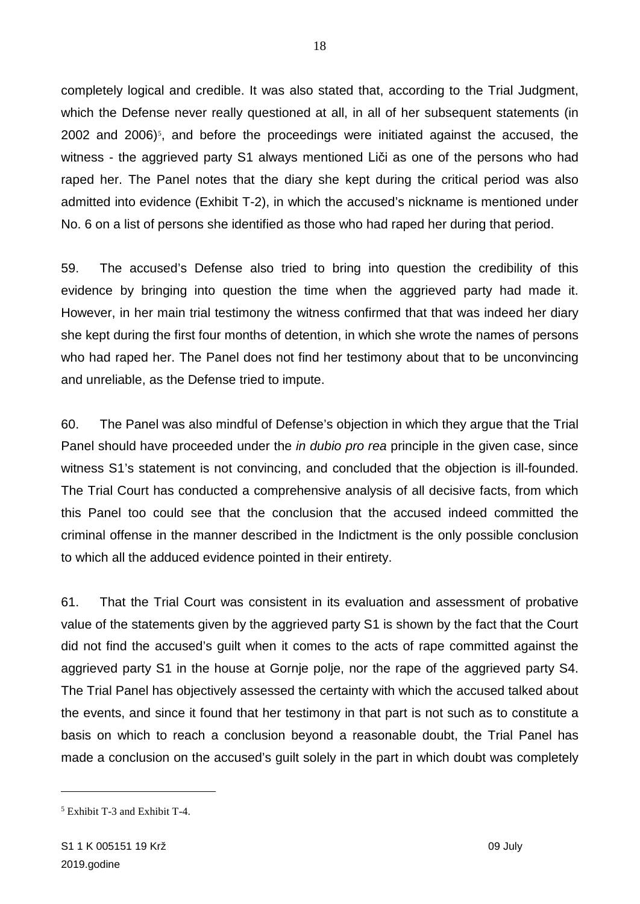completely logical and credible. It was also stated that, according to the Trial Judgment, which the Defense never really questioned at all, in all of her subsequent statements (in 2002 and 2006)<sup> $s$ </sup>, and before the proceedings were initiated against the accused, the witness - the aggrieved party S1 always mentioned Liči as one of the persons who had raped her. The Panel notes that the diary she kept during the critical period was also admitted into evidence (Exhibit T-2), in which the accused's nickname is mentioned under No. 6 on a list of persons she identified as those who had raped her during that period.

59. The accused's Defense also tried to bring into question the credibility of this evidence by bringing into question the time when the aggrieved party had made it. However, in her main trial testimony the witness confirmed that that was indeed her diary she kept during the first four months of detention, in which she wrote the names of persons who had raped her. The Panel does not find her testimony about that to be unconvincing and unreliable, as the Defense tried to impute.

60. The Panel was also mindful of Defense's objection in which they argue that the Trial Panel should have proceeded under the *in dubio pro rea* principle in the given case, since witness S1's statement is not convincing, and concluded that the objection is ill-founded. The Trial Court has conducted a comprehensive analysis of all decisive facts, from which this Panel too could see that the conclusion that the accused indeed committed the criminal offense in the manner described in the Indictment is the only possible conclusion to which all the adduced evidence pointed in their entirety.

61. That the Trial Court was consistent in its evaluation and assessment of probative value of the statements given by the aggrieved party S1 is shown by the fact that the Court did not find the accused's guilt when it comes to the acts of rape committed against the aggrieved party S1 in the house at Gornje polje, nor the rape of the aggrieved party S4. The Trial Panel has objectively assessed the certainty with which the accused talked about the events, and since it found that her testimony in that part is not such as to constitute a basis on which to reach a conclusion beyond a reasonable doubt, the Trial Panel has made a conclusion on the accused's guilt solely in the part in which doubt was completely

<span id="page-17-0"></span><sup>5</sup> Exhibit T-3 and Exhibit T-4.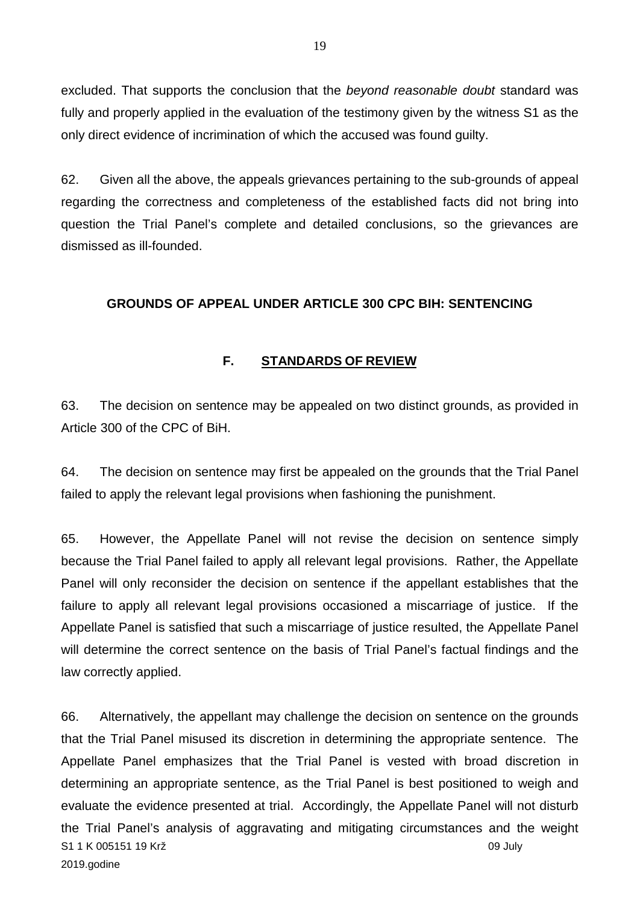excluded. That supports the conclusion that the *beyond reasonable doubt* standard was fully and properly applied in the evaluation of the testimony given by the witness S1 as the only direct evidence of incrimination of which the accused was found guilty.

62. Given all the above, the appeals grievances pertaining to the sub-grounds of appeal regarding the correctness and completeness of the established facts did not bring into question the Trial Panel's complete and detailed conclusions, so the grievances are dismissed as ill-founded.

### **GROUNDS OF APPEAL UNDER ARTICLE 300 CPC BIH: SENTENCING**

## **F. STANDARDS OF REVIEW**

63. The decision on sentence may be appealed on two distinct grounds, as provided in Article 300 of the CPC of BiH.

64. The decision on sentence may first be appealed on the grounds that the Trial Panel failed to apply the relevant legal provisions when fashioning the punishment.

65. However, the Appellate Panel will not revise the decision on sentence simply because the Trial Panel failed to apply all relevant legal provisions. Rather, the Appellate Panel will only reconsider the decision on sentence if the appellant establishes that the failure to apply all relevant legal provisions occasioned a miscarriage of justice. If the Appellate Panel is satisfied that such a miscarriage of justice resulted, the Appellate Panel will determine the correct sentence on the basis of Trial Panel's factual findings and the law correctly applied.

S1 1 K 005151 19 Krž 09 July 2019.godine 66. Alternatively, the appellant may challenge the decision on sentence on the grounds that the Trial Panel misused its discretion in determining the appropriate sentence. The Appellate Panel emphasizes that the Trial Panel is vested with broad discretion in determining an appropriate sentence, as the Trial Panel is best positioned to weigh and evaluate the evidence presented at trial. Accordingly, the Appellate Panel will not disturb the Trial Panel's analysis of aggravating and mitigating circumstances and the weight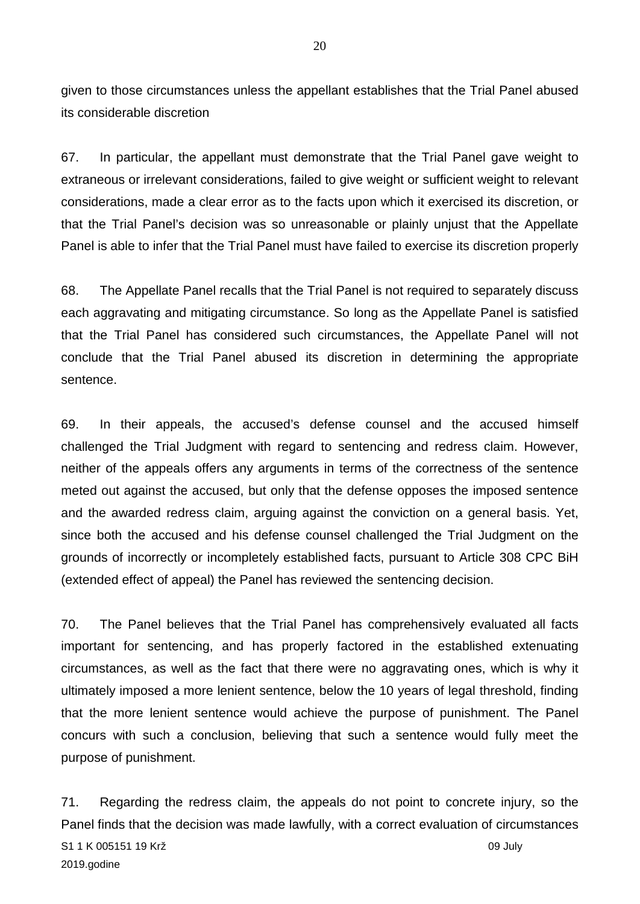given to those circumstances unless the appellant establishes that the Trial Panel abused its considerable discretion

67. In particular, the appellant must demonstrate that the Trial Panel gave weight to extraneous or irrelevant considerations, failed to give weight or sufficient weight to relevant considerations, made a clear error as to the facts upon which it exercised its discretion, or that the Trial Panel's decision was so unreasonable or plainly unjust that the Appellate Panel is able to infer that the Trial Panel must have failed to exercise its discretion properly

68. The Appellate Panel recalls that the Trial Panel is not required to separately discuss each aggravating and mitigating circumstance. So long as the Appellate Panel is satisfied that the Trial Panel has considered such circumstances, the Appellate Panel will not conclude that the Trial Panel abused its discretion in determining the appropriate sentence.

69. In their appeals, the accused's defense counsel and the accused himself challenged the Trial Judgment with regard to sentencing and redress claim. However, neither of the appeals offers any arguments in terms of the correctness of the sentence meted out against the accused, but only that the defense opposes the imposed sentence and the awarded redress claim, arguing against the conviction on a general basis. Yet, since both the accused and his defense counsel challenged the Trial Judgment on the grounds of incorrectly or incompletely established facts, pursuant to Article 308 CPC BiH (extended effect of appeal) the Panel has reviewed the sentencing decision.

70. The Panel believes that the Trial Panel has comprehensively evaluated all facts important for sentencing, and has properly factored in the established extenuating circumstances, as well as the fact that there were no aggravating ones, which is why it ultimately imposed a more lenient sentence, below the 10 years of legal threshold, finding that the more lenient sentence would achieve the purpose of punishment. The Panel concurs with such a conclusion, believing that such a sentence would fully meet the purpose of punishment.

S1 1 K 005151 19 Krž 09 July 2019.godine 71. Regarding the redress claim, the appeals do not point to concrete injury, so the Panel finds that the decision was made lawfully, with a correct evaluation of circumstances